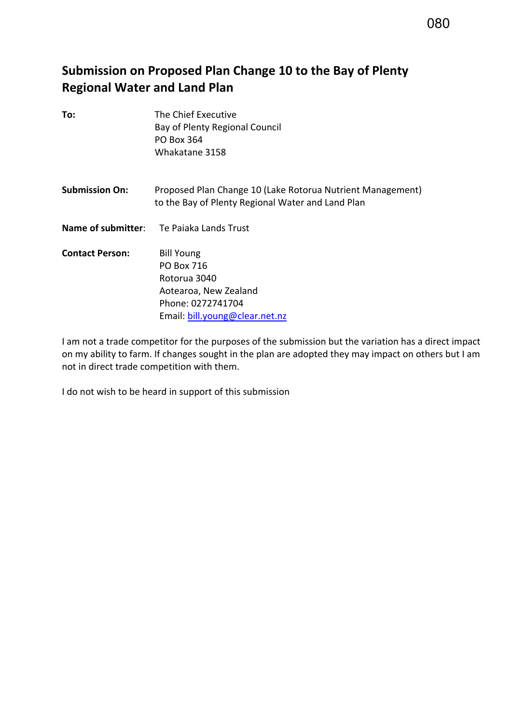# 080

# **Submission on Proposed Plan Change 10 to the Bay of Plenty Regional Water and Land Plan**

| To:                    | The Chief Executive                                                                                             |
|------------------------|-----------------------------------------------------------------------------------------------------------------|
|                        | Bay of Plenty Regional Council                                                                                  |
|                        | <b>PO Box 364</b>                                                                                               |
|                        | Whakatane 3158                                                                                                  |
| <b>Submission On:</b>  | Proposed Plan Change 10 (Lake Rotorua Nutrient Management)<br>to the Bay of Plenty Regional Water and Land Plan |
|                        | <b>Name of submitter:</b> Te Paiaka Lands Trust                                                                 |
| <b>Contact Person:</b> | <b>Bill Young</b>                                                                                               |
|                        | PO Box 716                                                                                                      |
|                        | Rotorua 3040                                                                                                    |
|                        | Aotearoa, New Zealand                                                                                           |
|                        | Phone: 0272741704                                                                                               |
|                        | Email: bill.young@clear.net.nz                                                                                  |

I am not a trade competitor for the purposes of the submission but the variation has a direct impact on my ability to farm. If changes sought in the plan are adopted they may impact on others but I am not in direct trade competition with them.

I do not wish to be heard in support of this submission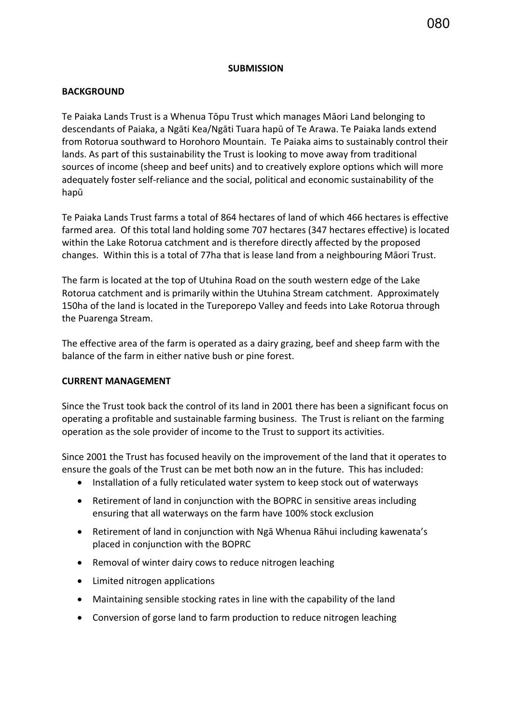#### **SUBMISSION**

## **BACKGROUND**

Te Paiaka Lands Trust is a Whenua Tōpu Trust which manages Māori Land belonging to descendants of Paiaka, a Ngāti Kea/Ngāti Tuara hapū of Te Arawa. Te Paiaka lands extend from Rotorua southward to Horohoro Mountain. Te Paiaka aims to sustainably control their lands. As part of this sustainability the Trust is looking to move away from traditional sources of income (sheep and beef units) and to creatively explore options which will more adequately foster self-reliance and the social, political and economic sustainability of the hapū

Te Paiaka Lands Trust farms a total of 864 hectares of land of which 466 hectares is effective farmed area. Of this total land holding some 707 hectares (347 hectares effective) is located within the Lake Rotorua catchment and is therefore directly affected by the proposed changes. Within this is a total of 77ha that is lease land from a neighbouring Māori Trust.

The farm is located at the top of Utuhina Road on the south western edge of the Lake Rotorua catchment and is primarily within the Utuhina Stream catchment. Approximately 150ha of the land is located in the Tureporepo Valley and feeds into Lake Rotorua through the Puarenga Stream.

The effective area of the farm is operated as a dairy grazing, beef and sheep farm with the balance of the farm in either native bush or pine forest.

#### **CURRENT MANAGEMENT**

Since the Trust took back the control of its land in 2001 there has been a significant focus on operating a profitable and sustainable farming business. The Trust is reliant on the farming operation as the sole provider of income to the Trust to support its activities.

Since 2001 the Trust has focused heavily on the improvement of the land that it operates to ensure the goals of the Trust can be met both now an in the future. This has included:

- Installation of a fully reticulated water system to keep stock out of waterways
- Retirement of land in conjunction with the BOPRC in sensitive areas including ensuring that all waterways on the farm have 100% stock exclusion
- Retirement of land in conjunction with Ngā Whenua Rāhui including kawenata's placed in conjunction with the BOPRC
- Removal of winter dairy cows to reduce nitrogen leaching
- Limited nitrogen applications
- Maintaining sensible stocking rates in line with the capability of the land
- Conversion of gorse land to farm production to reduce nitrogen leaching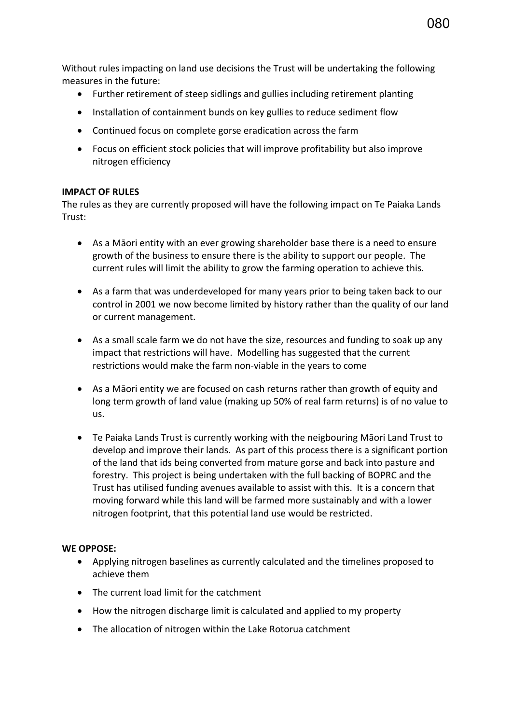Without rules impacting on land use decisions the Trust will be undertaking the following measures in the future:

- Further retirement of steep sidlings and gullies including retirement planting
- Installation of containment bunds on key gullies to reduce sediment flow
- Continued focus on complete gorse eradication across the farm
- Focus on efficient stock policies that will improve profitability but also improve nitrogen efficiency

## **IMPACT OF RULES**

The rules as they are currently proposed will have the following impact on Te Paiaka Lands Trust:

- As a Māori entity with an ever growing shareholder base there is a need to ensure growth of the business to ensure there is the ability to support our people. The current rules will limit the ability to grow the farming operation to achieve this.
- As a farm that was underdeveloped for many years prior to being taken back to our control in 2001 we now become limited by history rather than the quality of our land or current management.
- As a small scale farm we do not have the size, resources and funding to soak up any impact that restrictions will have. Modelling has suggested that the current restrictions would make the farm non-viable in the years to come
- As a Māori entity we are focused on cash returns rather than growth of equity and long term growth of land value (making up 50% of real farm returns) is of no value to us.
- Te Paiaka Lands Trust is currently working with the neigbouring Māori Land Trust to develop and improve their lands. As part of this process there is a significant portion of the land that ids being converted from mature gorse and back into pasture and forestry. This project is being undertaken with the full backing of BOPRC and the Trust has utilised funding avenues available to assist with this. It is a concern that moving forward while this land will be farmed more sustainably and with a lower nitrogen footprint, that this potential land use would be restricted.

#### **WE OPPOSE:**

- Applying nitrogen baselines as currently calculated and the timelines proposed to achieve them
- The current load limit for the catchment
- How the nitrogen discharge limit is calculated and applied to my property
- The allocation of nitrogen within the Lake Rotorua catchment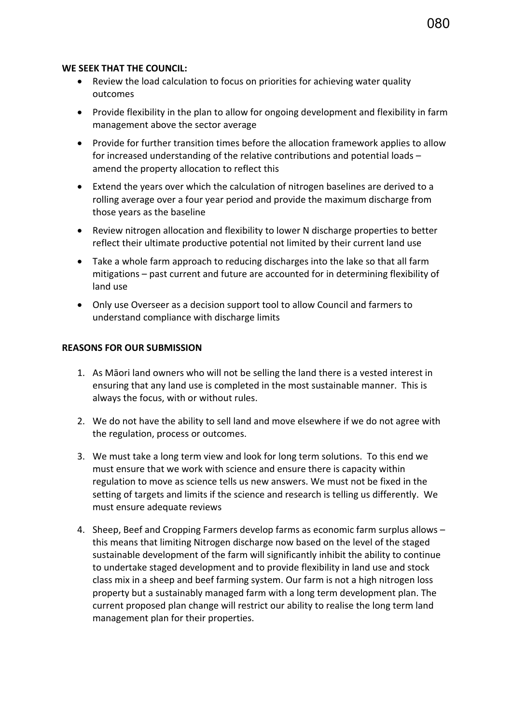#### **WE SEEK THAT THE COUNCIL:**

- Review the load calculation to focus on priorities for achieving water quality outcomes
- Provide flexibility in the plan to allow for ongoing development and flexibility in farm management above the sector average
- Provide for further transition times before the allocation framework applies to allow for increased understanding of the relative contributions and potential loads – amend the property allocation to reflect this
- Extend the years over which the calculation of nitrogen baselines are derived to a rolling average over a four year period and provide the maximum discharge from those years as the baseline
- Review nitrogen allocation and flexibility to lower N discharge properties to better reflect their ultimate productive potential not limited by their current land use
- Take a whole farm approach to reducing discharges into the lake so that all farm mitigations – past current and future are accounted for in determining flexibility of land use
- Only use Overseer as a decision support tool to allow Council and farmers to understand compliance with discharge limits

#### **REASONS FOR OUR SUBMISSION**

- 1. As Māori land owners who will not be selling the land there is a vested interest in ensuring that any land use is completed in the most sustainable manner. This is always the focus, with or without rules.
- 2. We do not have the ability to sell land and move elsewhere if we do not agree with the regulation, process or outcomes.
- 3. We must take a long term view and look for long term solutions. To this end we must ensure that we work with science and ensure there is capacity within regulation to move as science tells us new answers. We must not be fixed in the setting of targets and limits if the science and research is telling us differently. We must ensure adequate reviews
- 4. Sheep, Beef and Cropping Farmers develop farms as economic farm surplus allows this means that limiting Nitrogen discharge now based on the level of the staged sustainable development of the farm will significantly inhibit the ability to continue to undertake staged development and to provide flexibility in land use and stock class mix in a sheep and beef farming system. Our farm is not a high nitrogen loss property but a sustainably managed farm with a long term development plan. The current proposed plan change will restrict our ability to realise the long term land management plan for their properties.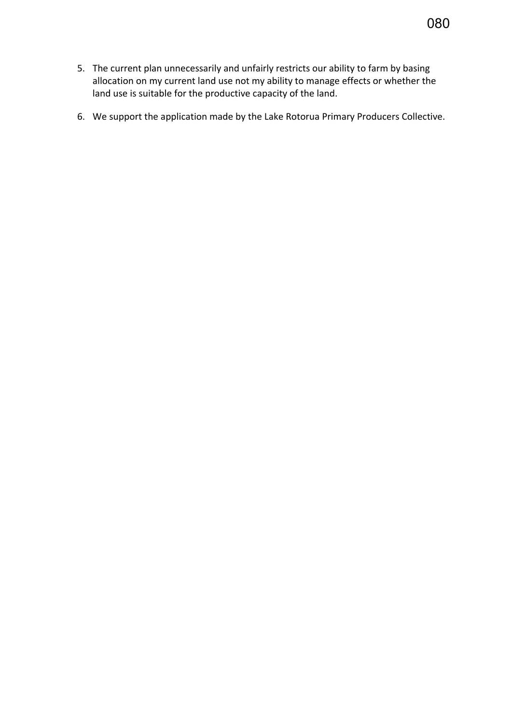- 5. The current plan unnecessarily and unfairly restricts our ability to farm by basing allocation on my current land use not my ability to manage effects or whether the land use is suitable for the productive capacity of the land.
- 6. We support the application made by the Lake Rotorua Primary Producers Collective.